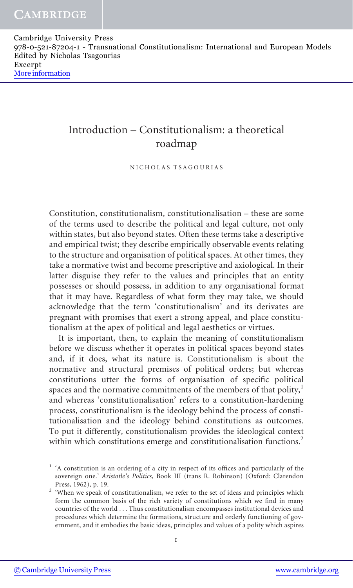# Introduction – Constitutionalism: a theoretical roadmap

NICHOLAS TSAGOURIAS

Constitution, constitutionalism, constitutionalisation – these are some of the terms used to describe the political and legal culture, not only within states, but also beyond states. Often these terms take a descriptive and empirical twist; they describe empirically observable events relating to the structure and organisation of political spaces. At other times, they take a normative twist and become prescriptive and axiological. In their latter disguise they refer to the values and principles that an entity possesses or should possess, in addition to any organisational format that it may have. Regardless of what form they may take, we should acknowledge that the term 'constitutionalism' and its derivates are pregnant with promises that exert a strong appeal, and place constitutionalism at the apex of political and legal aesthetics or virtues.

It is important, then, to explain the meaning of constitutionalism before we discuss whether it operates in political spaces beyond states and, if it does, what its nature is. Constitutionalism is about the normative and structural premises of political orders; but whereas constitutions utter the forms of organisation of specific political spaces and the normative commitments of the members of that polity, $<sup>1</sup>$ </sup> and whereas 'constitutionalisation' refers to a constitution-hardening process, constitutionalism is the ideology behind the process of constitutionalisation and the ideology behind constitutions as outcomes. To put it differently, constitutionalism provides the ideological context within which constitutions emerge and constitutionalisation functions.<sup>2</sup>

 $<sup>1</sup>$  'A constitution is an ordering of a city in respect of its offices and particularly of the</sup> sovereign one.' Aristotle's Politics, Book III (trans R. Robinson) (Oxford: Clarendon

Press, 1962), p. 19. 2 'When we speak of constitutionalism, we refer to the set of ideas and principles which form the common basis of the rich variety of constitutions which we find in many countries of the world ... Thus constitutionalism encompasses institutional devices and procedures which determine the formations, structure and orderly functioning of government, and it embodies the basic ideas, principles and values of a polity which aspires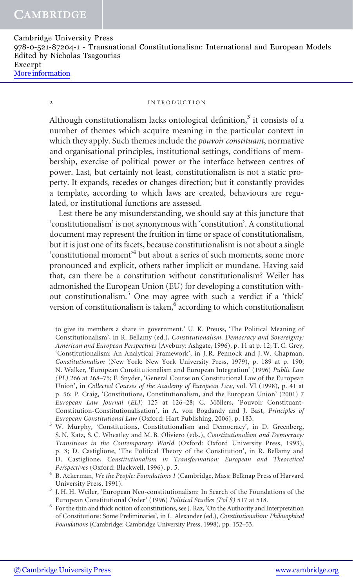#### 2 INTRODUCTION

Although constitutionalism lacks ontological definition, $3$  it consists of a number of themes which acquire meaning in the particular context in which they apply. Such themes include the *pouvoir constituant*, normative and organisational principles, institutional settings, conditions of membership, exercise of political power or the interface between centres of power. Last, but certainly not least, constitutionalism is not a static property. It expands, recedes or changes direction; but it constantly provides a template, according to which laws are created, behaviours are regulated, or institutional functions are assessed.

Lest there be any misunderstanding, we should say at this juncture that 'constitutionalism' is not synonymous with 'constitution'. A constitutional document may represent the fruition in time or space of constitutionalism, but it is just one of its facets, because constitutionalism is not about a single 'constitutional moment'4 but about a series of such moments, some more pronounced and explicit, others rather implicit or mundane. Having said that, can there be a constitution without constitutionalism? Weiler has admonished the European Union (EU) for developing a constitution without constitutionalism.<sup>5</sup> One may agree with such a verdict if a 'thick' version of constitutionalism is taken, $6$  according to which constitutionalism

to give its members a share in government.' U. K. Preuss, 'The Political Meaning of Constitutionalism', in R. Bellamy (ed.), Constitutionalism, Democracy and Sovereignty: American and European Perspectives (Avebury: Ashgate, 1996), p. 11 at p. 12; T. C. Grey, 'Constitutionalism: An Analytical Framework', in J. R. Pennock and J. W. Chapman, Constitutionalism (New York: New York University Press, 1979), p. 189 at p. 190; N. Walker, 'European Constitutionalism and European Integration' (1996) Public Law (PL) 266 at 268–75; F. Snyder, 'General Course on Constitutional Law of the European Union', in Collected Courses of the Academy of European Law, vol. VI (1998), p. 41 at p. 56; P. Craig, 'Constitutions, Constitutionalism, and the European Union' (2001) 7 European Law Journal (ELJ) 125 at 126–28; C. Möllers, 'Pouvoir Constituant-Constitution-Constitutionalisation', in A. von Bogdandy and J. Bast, Principles of

- European Constitutional Law (Oxford: Hart Publishing, 2006), p. 183. <sup>3</sup> W. Murphy, 'Constitutions, Constitutionalism and Democracy', in D. Greenberg, S. N. Katz, S. C. Wheatley and M. B. Oliviero (eds.), Constitutionalism and Democracy: Transitions in the Contemporary World (Oxford: Oxford University Press, 1993), p. 3; D. Castiglione, 'The Political Theory of the Constitution', in R. Bellamy and D. Castiglione, Constitutionalism in Transformation: European and Theoretical
- *Perspectives* (Oxford: Blackwell, 1996), p. 5.  $4\,$  B. Ackerman, We the People: Foundations 1 (Cambridge, Mass: Belknap Press of Harvard
- University Press, 1991).<br>  $5$  J. H. H. Weiler, 'European Neo-constitutionalism: In Search of the Foundations of the European Constitutional Order' (1996) *Political Studies (Pol S)* 517 at 518.<br><sup>6</sup> For the thin and thick notion of constitutions, see J. Raz, 'On the Authority and Interpretation
- of Constitutions: Some Preliminaries', in L. Alexander (ed.), Constitutionalism: Philosophical Foundations (Cambridge: Cambridge University Press, 1998), pp. 152–53.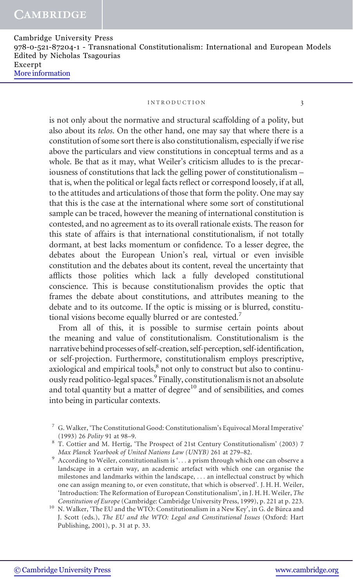#### INTRODUCTION 3

is not only about the normative and structural scaffolding of a polity, but also about its telos. On the other hand, one may say that where there is a constitution of some sort there is also constitutionalism, especially if we rise above the particulars and view constitutions in conceptual terms and as a whole. Be that as it may, what Weiler's criticism alludes to is the precariousness of constitutions that lack the gelling power of constitutionalism – that is, when the political or legal facts reflect or correspond loosely, if at all, to the attitudes and articulations of those that form the polity. One may say that this is the case at the international where some sort of constitutional sample can be traced, however the meaning of international constitution is contested, and no agreement as to its overall rationale exists. The reason for this state of affairs is that international constitutionalism, if not totally dormant, at best lacks momentum or confidence. To a lesser degree, the debates about the European Union's real, virtual or even invisible constitution and the debates about its content, reveal the uncertainty that afflicts those polities which lack a fully developed constitutional conscience. This is because constitutionalism provides the optic that frames the debate about constitutions, and attributes meaning to the debate and to its outcome. If the optic is missing or is blurred, constitutional visions become equally blurred or are contested.<sup>7</sup>

From all of this, it is possible to surmise certain points about the meaning and value of constitutionalism. Constitutionalism is the narrative behind processes of self-creation, self-perception, self-identification, or self-projection. Furthermore, constitutionalism employs prescriptive, axiological and empirical tools, ${}^{8}$  not only to construct but also to continuously read politico-legal spaces.<sup>9</sup> Finally, constitutionalism is not an absolute and total quantity but a matter of degree<sup>10</sup> and of sensibilities, and comes into being in particular contexts.

<sup>&</sup>lt;sup>7</sup> G. Walker, 'The Constitutional Good: Constitutionalism's Equivocal Moral Imperative' (1993) 26 Polity 91 at 98–9.

<sup>&</sup>lt;sup>8</sup> T. Cottier and M. Hertig, 'The Prospect of 21st Century Constitutionalism' (2003) 7

Max Planck Yearbook of United Nations Law (UNYB) 261 at 279–82.<br> $^9$  According to Weiler, constitutionalism is '... a prism through which one can observe a landscape in a certain way, an academic artefact with which one can organise the milestones and landmarks within the landscape, ... an intellectual construct by which one can assign meaning to, or even constitute, that which is observed'. J. H. H. Weiler, 'Introduction: The Reformation of European Constitutionalism', in J. H. H. Weiler, The

Constitution of Europe (Cambridge: Cambridge University Press, 1999), p. 221 at p. 223. <sup>10</sup> N. Walker, 'The EU and the WTO: Constitutionalism in a New Key', in G. de Burca and J. Scott (eds.), The EU and the WTO: Legal and Constitutional Issues (Oxford: Hart Publishing, 2001), p. 31 at p. 33.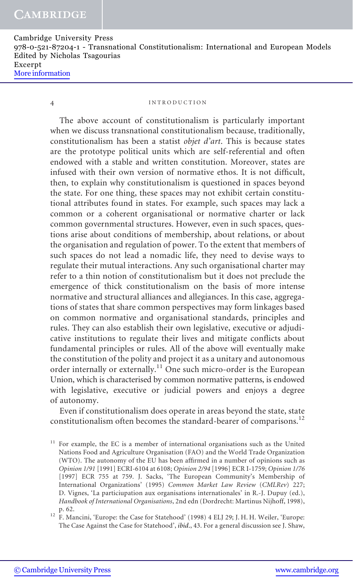#### 4 INTRODUCTION

The above account of constitutionalism is particularly important when we discuss transnational constitutionalism because, traditionally, constitutionalism has been a statist objet d'art. This is because states are the prototype political units which are self-referential and often endowed with a stable and written constitution. Moreover, states are infused with their own version of normative ethos. It is not difficult, then, to explain why constitutionalism is questioned in spaces beyond the state. For one thing, these spaces may not exhibit certain constitutional attributes found in states. For example, such spaces may lack a common or a coherent organisational or normative charter or lack common governmental structures. However, even in such spaces, questions arise about conditions of membership, about relations, or about the organisation and regulation of power. To the extent that members of such spaces do not lead a nomadic life, they need to devise ways to regulate their mutual interactions. Any such organisational charter may refer to a thin notion of constitutionalism but it does not preclude the emergence of thick constitutionalism on the basis of more intense normative and structural alliances and allegiances. In this case, aggregations of states that share common perspectives may form linkages based on common normative and organisational standards, principles and rules. They can also establish their own legislative, executive or adjudicative institutions to regulate their lives and mitigate conflicts about fundamental principles or rules. All of the above will eventually make the constitution of the polity and project it as a unitary and autonomous order internally or externally.<sup>11</sup> One such micro-order is the European Union, which is characterised by common normative patterns, is endowed with legislative, executive or judicial powers and enjoys a degree of autonomy.

Even if constitutionalism does operate in areas beyond the state, state constitutionalism often becomes the standard-bearer of comparisons.<sup>12</sup>

<sup>11</sup> For example, the EC is a member of international organisations such as the United Nations Food and Agriculture Organisation (FAO) and the World Trade Organization (WTO). The autonomy of the EU has been affirmed in a number of opinions such as Opinion 1/91 [1991] ECRI-6104 at 6108; Opinion 2/94 [1996] ECR I-1759; Opinion 1/76 [1997] ECR 755 at 759. J. Sacks, 'The European Community's Membership of International Organizations' (1995) Common Market Law Review (CMLRev) 227; D. Vignes, 'La particiupation aux organisations internationales' in R.-J. Dupuy (ed.), Handbook of International Organisations, 2nd edn (Dordrecht: Martinus Nijhoff, 1998),

p. 62. <sup>12</sup> F. Mancini, 'Europe: the Case for Statehood' (1998) 4 ELJ 29; J. H. H. Weiler, 'Europe: The Case Against the Case for Statehood', *ibid.*, 43. For a general discussion see J. Shaw,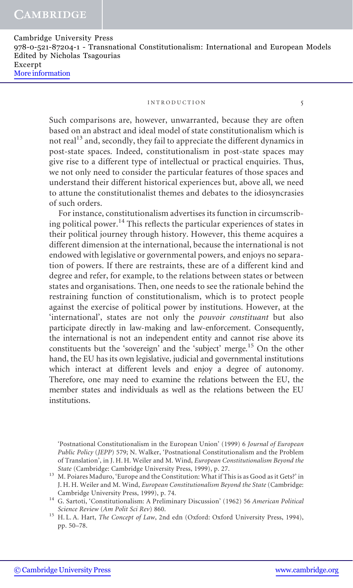#### INTRODUCTION 5

Such comparisons are, however, unwarranted, because they are often based on an abstract and ideal model of state constitutionalism which is not real<sup>13</sup> and, secondly, they fail to appreciate the different dynamics in post-state spaces. Indeed, constitutionalism in post-state spaces may give rise to a different type of intellectual or practical enquiries. Thus, we not only need to consider the particular features of those spaces and understand their different historical experiences but, above all, we need to attune the constitutionalist themes and debates to the idiosyncrasies of such orders.

For instance, constitutionalism advertises its function in circumscribing political power.<sup>14</sup> This reflects the particular experiences of states in their political journey through history. However, this theme acquires a different dimension at the international, because the international is not endowed with legislative or governmental powers, and enjoys no separation of powers. If there are restraints, these are of a different kind and degree and refer, for example, to the relations between states or between states and organisations. Then, one needs to see the rationale behind the restraining function of constitutionalism, which is to protect people against the exercise of political power by institutions. However, at the 'international', states are not only the pouvoir constituant but also participate directly in law-making and law-enforcement. Consequently, the international is not an independent entity and cannot rise above its constituents but the 'sovereign' and the 'subject' merge.<sup>15</sup> On the other hand, the EU has its own legislative, judicial and governmental institutions which interact at different levels and enjoy a degree of autonomy. Therefore, one may need to examine the relations between the EU, the member states and individuals as well as the relations between the EU institutions.

<sup>&#</sup>x27;Postnational Constitutionalism in the European Union' (1999) 6 Journal of European Public Policy (JEPP) 579; N. Walker, 'Postnational Constitutionalism and the Problem of Translation', in J. H. H. Weiler and M. Wind, European Constitutionalism Beyond the

State (Cambridge: Cambridge University Press, 1999), p. 27.  $^{13}$  M. Poiares Maduro, 'Europe and the Constitution: What if This is as Good as it Gets?' in J. H. H. Weiler and M. Wind, European Constitutionalism Beyond the State (Cambridge:

Cambridge University Press, 1999), p. 74.<br><sup>14</sup> G. Sartoti, 'Constitutionalism: A Preliminary Discussion' (1962) 56 American Political Science Review (Am Polit Sci Rev) 860.<br><sup>15</sup> H. L. A. Hart, *The Concept of Law*, 2nd edn (Oxford: Oxford University Press, 1994),

pp. 50–78.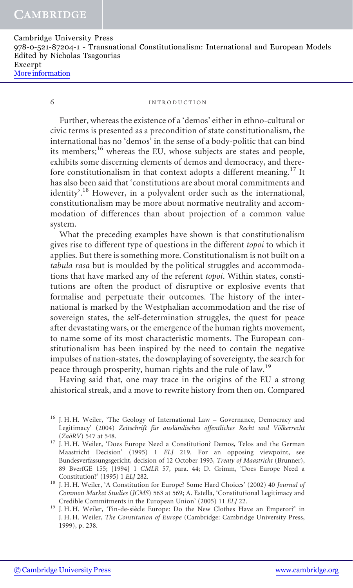## 6 INTRODUCTION

Further, whereas the existence of a 'demos' either in ethno-cultural or civic terms is presented as a precondition of state constitutionalism, the international has no 'demos' in the sense of a body-politic that can bind its members; $^{16}$  whereas the EU, whose subjects are states and people, exhibits some discerning elements of demos and democracy, and therefore constitutionalism in that context adopts a different meaning.<sup>17</sup> It has also been said that 'constitutions are about moral commitments and identity<sup>'.18</sup> However, in a polyvalent order such as the international, constitutionalism may be more about normative neutrality and accommodation of differences than about projection of a common value system.

What the preceding examples have shown is that constitutionalism gives rise to different type of questions in the different topoi to which it applies. But there is something more. Constitutionalism is not built on a tabula rasa but is moulded by the political struggles and accommodations that have marked any of the referent topoi. Within states, constitutions are often the product of disruptive or explosive events that formalise and perpetuate their outcomes. The history of the international is marked by the Westphalian accommodation and the rise of sovereign states, the self-determination struggles, the quest for peace after devastating wars, or the emergence of the human rights movement, to name some of its most characteristic moments. The European constitutionalism has been inspired by the need to contain the negative impulses of nation-states, the downplaying of sovereignty, the search for peace through prosperity, human rights and the rule of law.<sup>19</sup>

Having said that, one may trace in the origins of the EU a strong ahistorical streak, and a move to rewrite history from then on. Compared

<sup>&</sup>lt;sup>16</sup> J. H. H. Weiler, 'The Geology of International Law - Governance, Democracy and Legitimacy' (2004) Zeitschrift für ausländisches öffentliches Recht und Völkerrecht ( $Za\ddot{o}RV$ ) 547 at 548.<br><sup>17</sup> J. H. H. Weiler, 'Does Europe Need a Constitution? Demos, Telos and the German

Maastricht Decision' (1995) 1 ELJ 219. For an opposing viewpoint, see Bundesverfassungsgericht, decision of 12 October 1993, Treaty of Maastricht (Brunner), 89 BverfGE 155; [1994] 1 CMLR 57, para. 44; D. Grimm, 'Does Europe Need a

Constitution?' (1995) 1 *ELJ* 282.<br><sup>18</sup> J. H. H. Weiler, 'A Constitution for Europe? Some Hard Choices' (2002) 40 Journal of Common Market Studies (JCMS) 563 at 569; A. Estella, 'Constitutional Legitimacy and

Credible Commitments in the European Union' (2005) 11 ELJ 22. <sup>19</sup> J. H. H. Weiler, 'Fin-de-siecle Europe: Do the New Clothes Have an Emperor?' in ` J. H. H. Weiler, The Constitution of Europe (Cambridge: Cambridge University Press, 1999), p. 238.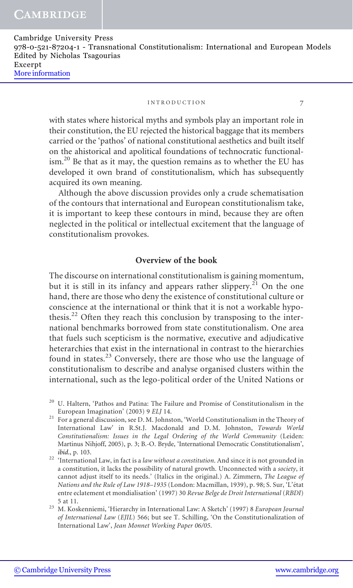#### INTRODUCTION 7

with states where historical myths and symbols play an important role in their constitution, the EU rejected the historical baggage that its members carried or the 'pathos' of national constitutional aesthetics and built itself on the ahistorical and apolitical foundations of technocratic functionalism.20 Be that as it may, the question remains as to whether the EU has developed it own brand of constitutionalism, which has subsequently acquired its own meaning.

Although the above discussion provides only a crude schematisation of the contours that international and European constitutionalism take, it is important to keep these contours in mind, because they are often neglected in the political or intellectual excitement that the language of constitutionalism provokes.

## Overview of the book

The discourse on international constitutionalism is gaining momentum, but it is still in its infancy and appears rather slippery.<sup>21</sup> On the one hand, there are those who deny the existence of constitutional culture or conscience at the international or think that it is not a workable hypothesis.<sup>22</sup> Often they reach this conclusion by transposing to the international benchmarks borrowed from state constitutionalism. One area that fuels such scepticism is the normative, executive and adjudicative heterarchies that exist in the international in contrast to the hierarchies found in states.<sup>23</sup> Conversely, there are those who use the language of constitutionalism to describe and analyse organised clusters within the international, such as the lego-political order of the United Nations or

<sup>20</sup> U. Haltern, 'Pathos and Patina: The Failure and Promise of Constitutionalism in the

European Imagination' (2003) 9 ELJ 14.<br><sup>21</sup> For a general discussion, see D. M. Johnston, 'World Constitutionalism in the Theory of International Law' in R.St.J. Macdonald and D. M. Johnston, Towards World Constitutionalism: Issues in the Legal Ordering of the World Community (Leiden: Martinus Nihjoff, 2005), p. 3; B.-O. Bryde, 'International Democratic Constitutionalism', *ibid.*, p. 103. 22 'International Law, in fact is a *law without a constitution*. And since it is not grounded in

a constitution, it lacks the possibility of natural growth. Unconnected with a society, it cannot adjust itself to its needs.' (Italics in the original.) A. Zimmern, The League of Nations and the Rule of Law 1918–1935 (London: Macmillan, 1939), p. 98; S. Sur, 'L'etat ´ entre eclatement et mondialisation' (1997) 30 Revue Belge de Droit International (RBDI)

 $^{\rm 5}$  at 11. Koskenniemi, 'Hierarchy in International Law: A Sketch' (1997) 8 European Journal  $^{\rm 23}$  M. Koskenniemi, 'Hierarchy in International Law: A Sketch' (1997) 8 European Journal of International Law (EJIL) 566; but see T. Schilling, 'On the Constitutionalization of International Law', Jean Monnet Working Paper 06/05.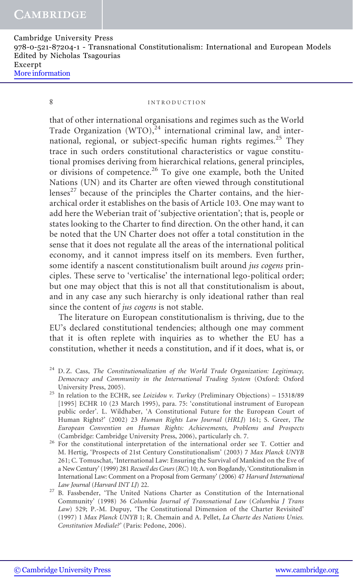### 8 INTRODUCTION

that of other international organisations and regimes such as the World Trade Organization (WTO), $^{24}$  international criminal law, and international, regional, or subject-specific human rights regimes.<sup>25</sup> They trace in such orders constitutional characteristics or vague constitutional promises deriving from hierarchical relations, general principles, or divisions of competence.<sup>26</sup> To give one example, both the United Nations (UN) and its Charter are often viewed through constitutional lenses<sup>27</sup> because of the principles the Charter contains, and the hierarchical order it establishes on the basis of Article 103. One may want to add here the Weberian trait of 'subjective orientation'; that is, people or states looking to the Charter to find direction. On the other hand, it can be noted that the UN Charter does not offer a total constitution in the sense that it does not regulate all the areas of the international political economy, and it cannot impress itself on its members. Even further, some identify a nascent constitutionalism built around jus cogens principles. These serve to 'verticalise' the international lego-political order; but one may object that this is not all that constitutionalism is about, and in any case any such hierarchy is only ideational rather than real since the content of *jus cogens* is not stable.

The literature on European constitutionalism is thriving, due to the EU's declared constitutional tendencies; although one may comment that it is often replete with inquiries as to whether the EU has a constitution, whether it needs a constitution, and if it does, what is, or

- $24$  D.Z. Cass, The Constitutionalization of the World Trade Organization: Legitimacy, Democracy and Community in the International Trading System (Oxford: Oxford
- University Press, 2005). 25 In relation to the ECHR, see *Loizidou v. Turkey* (Preliminary Objections) 15318/89 [1995] ECHR 10 (23 March 1995), para. 75: 'constitutional instrument of European public order'. L. Wildhaber, 'A Constitutional Future for the European Court of Human Rights?' (2002) 23 Human Rights Law Journal (HRLJ) 161; S. Greer, The European Convention on Human Rights: Achievements, Problems and Prospects
- (Cambridge: Cambridge University Press, 2006), particularly ch. 7.  $26$  For the constitutional interpretation of the international order see T. Cottier and M. Hertig, 'Prospects of 21st Century Constitutionalism' (2003) 7 Max Planck UNYB 261; C. Tomuschat, 'International Law: Ensuring the Survival of Mankind on the Eve of a New Century' (1999) 281 Recueil des Cours(RC) 10; A. von Bogdandy, 'Constitutionalism in International Law: Comment on a Proposal from Germany' (2006) 47 Harvard International
- Law Journal (Harvard INT LJ) 22. <sup>27</sup> B. Fassbender, 'The United Nations Charter as Constitution of the International Community' (1998) 36 Columbia Journal of Transnational Law (Columbia J Trans Law) 529; P.-M. Dupuy, 'The Constitutional Dimension of the Charter Revisited' (1997) 1 Max Planck UNYB 1; R. Chemain and A. Pellet, La Charte des Nations Unies. Constitution Modiale?' (Paris: Pedone, 2006).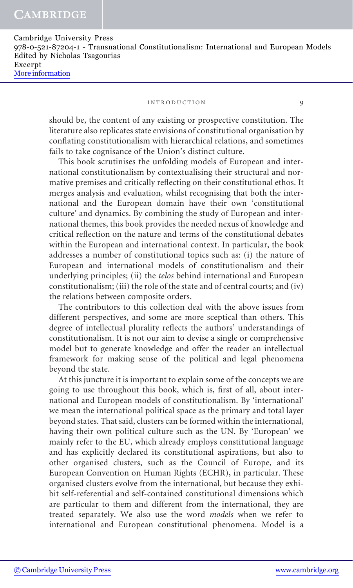#### INTRODUCTION 9

should be, the content of any existing or prospective constitution. The literature also replicates state envisions of constitutional organisation by conflating constitutionalism with hierarchical relations, and sometimes fails to take cognisance of the Union's distinct culture.

This book scrutinises the unfolding models of European and international constitutionalism by contextualising their structural and normative premises and critically reflecting on their constitutional ethos. It merges analysis and evaluation, whilst recognising that both the international and the European domain have their own 'constitutional culture' and dynamics. By combining the study of European and international themes, this book provides the needed nexus of knowledge and critical reflection on the nature and terms of the constitutional debates within the European and international context. In particular, the book addresses a number of constitutional topics such as: (i) the nature of European and international models of constitutionalism and their underlying principles; (ii) the *telos* behind international and European constitutionalism; (iii) the role of the state and of central courts; and (iv) the relations between composite orders.

The contributors to this collection deal with the above issues from different perspectives, and some are more sceptical than others. This degree of intellectual plurality reflects the authors' understandings of constitutionalism. It is not our aim to devise a single or comprehensive model but to generate knowledge and offer the reader an intellectual framework for making sense of the political and legal phenomena beyond the state.

At this juncture it is important to explain some of the concepts we are going to use throughout this book, which is, first of all, about international and European models of constitutionalism. By 'international' we mean the international political space as the primary and total layer beyond states. That said, clusters can be formed within the international, having their own political culture such as the UN. By 'European' we mainly refer to the EU, which already employs constitutional language and has explicitly declared its constitutional aspirations, but also to other organised clusters, such as the Council of Europe, and its European Convention on Human Rights (ECHR), in particular. These organised clusters evolve from the international, but because they exhibit self-referential and self-contained constitutional dimensions which are particular to them and different from the international, they are treated separately. We also use the word models when we refer to international and European constitutional phenomena. Model is a